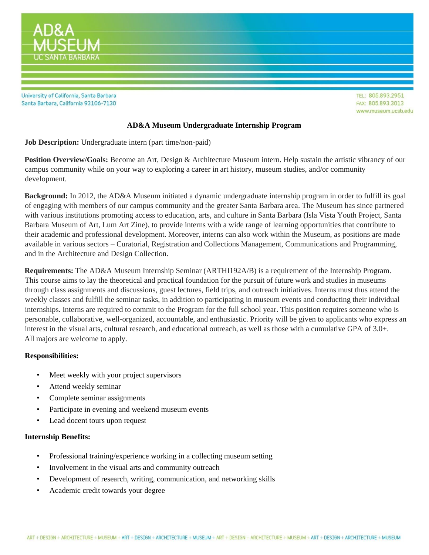

University of California, Santa Barbara Santa Barbara, California 93106-7130

TEL: 805.893.2951 FAX: 805.893.3013 www.museum.ucsb.edu

## **AD&A Museum Undergraduate Internship Program**

**Job Description:** Undergraduate intern (part time/non-paid)

**Position Overview/Goals:** Become an Art, Design & Architecture Museum intern. Help sustain the artistic vibrancy of our campus community while on your way to exploring a career in art history, museum studies, and/or community development.

**Background:** In 2012, the AD&A Museum initiated a dynamic undergraduate internship program in order to fulfill its goal of engaging with members of our campus community and the greater Santa Barbara area. The Museum has since partnered with various institutions promoting access to education, arts, and culture in Santa Barbara (Isla Vista Youth Project, Santa Barbara Museum of Art, Lum Art Zine), to provide interns with a wide range of learning opportunities that contribute to their academic and professional development. Moreover, interns can also work within the Museum, as positions are made available in various sectors – Curatorial, Registration and Collections Management, Communications and Programming, and in the Architecture and Design Collection.

**Requirements:** The AD&A Museum Internship Seminar (ARTHI192A/B) is a requirement of the Internship Program. This course aims to lay the theoretical and practical foundation for the pursuit of future work and studies in museums through class assignments and discussions, guest lectures, field trips, and outreach initiatives. Interns must thus attend the weekly classes and fulfill the seminar tasks, in addition to participating in museum events and conducting their individual internships. Interns are required to commit to the Program for the full school year. This position requires someone who is personable, collaborative, well-organized, accountable, and enthusiastic. Priority will be given to applicants who express an interest in the visual arts, cultural research, and educational outreach, as well as those with a cumulative GPA of 3.0+. All majors are welcome to apply.

## **Responsibilities:**

- Meet weekly with your project supervisors
- Attend weekly seminar
- Complete seminar assignments
- Participate in evening and weekend museum events
- Lead docent tours upon request

## **Internship Benefits:**

- Professional training/experience working in a collecting museum setting
- Involvement in the visual arts and community outreach
- Development of research, writing, communication, and networking skills
- Academic credit towards your degree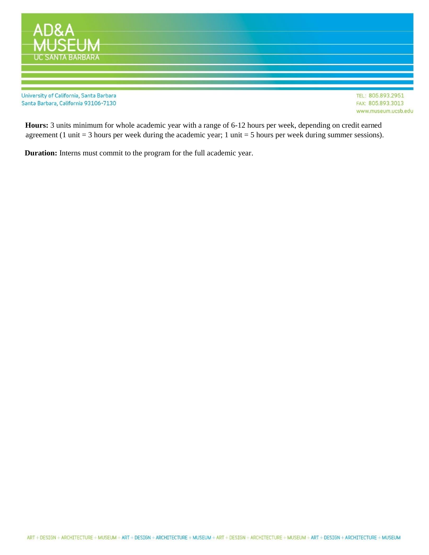

**Hours:** 3 units minimum for whole academic year with a range of 6-12 hours per week, depending on credit earned agreement (1 unit  $=$  3 hours per week during the academic year; 1 unit  $=$  5 hours per week during summer sessions).

**Duration:** Interns must commit to the program for the full academic year.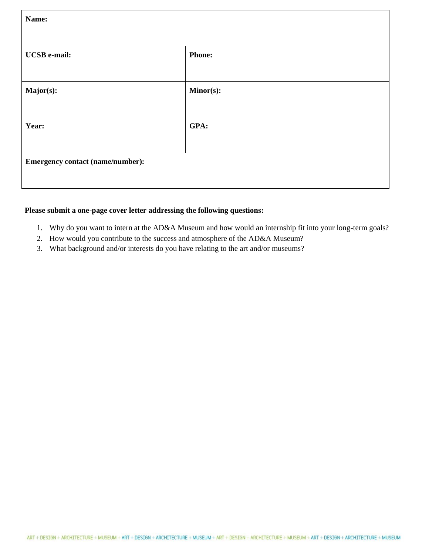| Name:                                   |               |  |
|-----------------------------------------|---------------|--|
| <b>UCSB</b> e-mail:                     | <b>Phone:</b> |  |
| Major(s):                               | Minor(s):     |  |
| Year:                                   | GPA:          |  |
| <b>Emergency contact (name/number):</b> |               |  |

# **Please submit a one-page cover letter addressing the following questions:**

- 1. Why do you want to intern at the AD&A Museum and how would an internship fit into your long-term goals?
- 2. How would you contribute to the success and atmosphere of the AD&A Museum?
- 3. What background and/or interests do you have relating to the art and/or museums?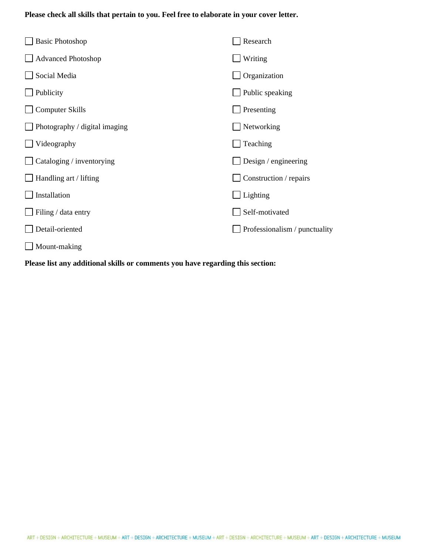# **Please check all skills that pertain to you. Feel free to elaborate in your cover letter.**

| <b>Basic Photoshop</b>        | Research                      |
|-------------------------------|-------------------------------|
| <b>Advanced Photoshop</b>     | Writing                       |
| Social Media                  | Organization                  |
| Publicity                     | Public speaking               |
| <b>Computer Skills</b>        | Presenting                    |
| Photography / digital imaging | Networking                    |
| Videography                   | Teaching                      |
| Cataloging / inventorying     | Design / engineering          |
| $\Box$ Handling art / lifting | Construction / repairs        |
| Installation                  | Lighting                      |
| Filing / data entry           | Self-motivated                |
| Detail-oriented               | Professionalism / punctuality |
| Mount-making                  |                               |

**Please list any additional skills or comments you have regarding this section:**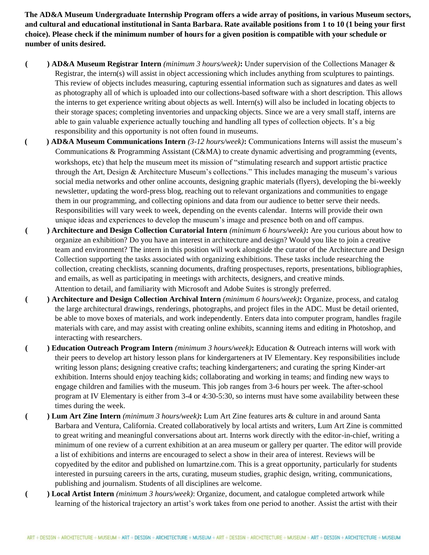**The AD&A Museum Undergraduate Internship Program offers a wide array of positions, in various Museum sectors, and cultural and educational institutional in Santa Barbara. Rate available positions from 1 to 10 (1 being your first choice). Please check if the minimum number of hours for a given position is compatible with your schedule or number of units desired.** 

- **( ) AD&A Museum Registrar Intern** *(minimum 3 hours/week)***:** Under supervision of the Collections Manager & Registrar, the intern(s) will assist in object accessioning which includes anything from sculptures to paintings. This review of objects includes measuring, capturing essential information such as signatures and dates as well as photography all of which is uploaded into our collections-based software with a short description. This allows the interns to get experience writing about objects as well. Intern(s) will also be included in locating objects to their storage spaces; completing inventories and unpacking objects. Since we are a very small staff, interns are able to gain valuable experience actually touching and handling all types of collection objects. It's a big responsibility and this opportunity is not often found in museums.
- **( ) AD&A Museum Communications Intern** *(3-12 hours/week)***:** Communications Interns will assist the museum's Communications & Programming Assistant (C&MA) to create dynamic advertising and programming (events, workshops, etc) that help the museum meet its mission of "stimulating research and support artistic practice through the Art, Design & Architecture Museum's collections." This includes managing the museum's various social media networks and other online accounts, designing graphic materials (flyers), developing the bi-weekly newsletter, updating the word-press blog, reaching out to relevant organizations and communities to engage them in our programming, and collecting opinions and data from our audience to better serve their needs. Responsibilities will vary week to week, depending on the events calendar. Interns will provide their own unique ideas and experiences to develop the museum's image and presence both on and off campus.
- **( ) Architecture and Design Collection Curatorial Intern** *(minimum 6 hours/week)***:** Are you curious about how to organize an exhibition? Do you have an interest in architecture and design? Would you like to join a creative team and environment? The intern in this position will work alongside the curator of the Architecture and Design Collection supporting the tasks associated with organizing exhibitions. These tasks include researching the collection, creating checklists, scanning documents, drafting prospectuses, reports, presentations, bibliographies, and emails, as well as participating in meetings with architects, designers, and creative minds. Attention to detail, and familiarity with Microsoft and Adobe Suites is strongly preferred.
- **( ) Architecture and Design Collection Archival Intern** *(minimum 6 hours/week)***:** Organize, process, and catalog the large architectural drawings, renderings, photographs, and project files in the ADC. Must be detail oriented, be able to move boxes of materials, and work independently. Enters data into computer program, handles fragile materials with care, and may assist with creating online exhibits, scanning items and editing in Photoshop, and interacting with researchers.
- **( ) Education Outreach Program Intern** *(minimum 3 hours/week)***:** Education & Outreach interns will work with their peers to develop art history lesson plans for kindergarteners at IV Elementary. Key responsibilities include writing lesson plans; designing creative crafts; teaching kindergarteners; and curating the spring Kinder-art exhibition. Interns should enjoy teaching kids; collaborating and working in teams; and finding new ways to engage children and families with the museum. This job ranges from 3-6 hours per week. The after-school program at IV Elementary is either from 3-4 or 4:30-5:30, so interns must have some availability between these times during the week.
- **( ) Lum Art Zine Intern** *(minimum 3 hours/week)***:** Lum Art Zine features arts & culture in and around Santa Barbara and Ventura, California. Created collaboratively by local artists and writers, Lum Art Zine is committed to great writing and meaningful conversations about art. Interns work directly with the editor-in-chief, writing a minimum of one review of a current exhibition at an area museum or gallery per quarter. The editor will provide a list of exhibitions and interns are encouraged to select a show in their area of interest. Reviews will be copyedited by the editor and published on lumartzine.com. This is a great opportunity, particularly for students interested in pursuing careers in the arts, curating, museum studies, graphic design, writing, communications, publishing and journalism. Students of all disciplines are welcome.
- **( ) Local Artist Intern** *(minimum 3 hours/week)*: Organize, document, and catalogue completed artwork while learning of the historical trajectory an artist's work takes from one period to another. Assist the artist with their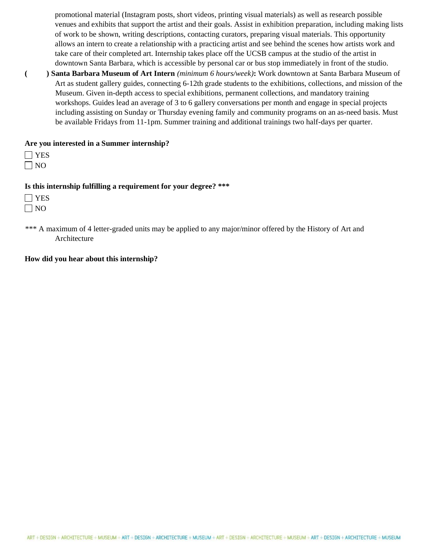promotional material (Instagram posts, short videos, printing visual materials) as well as research possible venues and exhibits that support the artist and their goals. Assist in exhibition preparation, including making lists of work to be shown, writing descriptions, contacting curators, preparing visual materials. This opportunity allows an intern to create a relationship with a practicing artist and see behind the scenes how artists work and take care of their completed art. Internship takes place off the UCSB campus at the studio of the artist in downtown Santa Barbara, which is accessible by personal car or bus stop immediately in front of the studio.

**( ) Santa Barbara Museum of Art Intern** *(minimum 6 hours/week)***:** Work downtown at Santa Barbara Museum of Art as student gallery guides, connecting 6-12th grade students to the exhibitions, collections, and mission of the Museum. Given in-depth access to special exhibitions, permanent collections, and mandatory training workshops. Guides lead an average of 3 to 6 gallery conversations per month and engage in special projects including assisting on Sunday or Thursday evening family and community programs on an as-need basis. Must be available Fridays from 11-1pm. Summer training and additional trainings two half-days per quarter.

### **Are you interested in a Summer internship?**

 $\Box$  YES  $\Box$  NO

#### **Is this internship fulfilling a requirement for your degree? \*\*\***

 $\Box$  YES  $\Box$  NO

\*\*\* A maximum of 4 letter-graded units may be applied to any major/minor offered by the History of Art and Architecture

#### **How did you hear about this internship?**